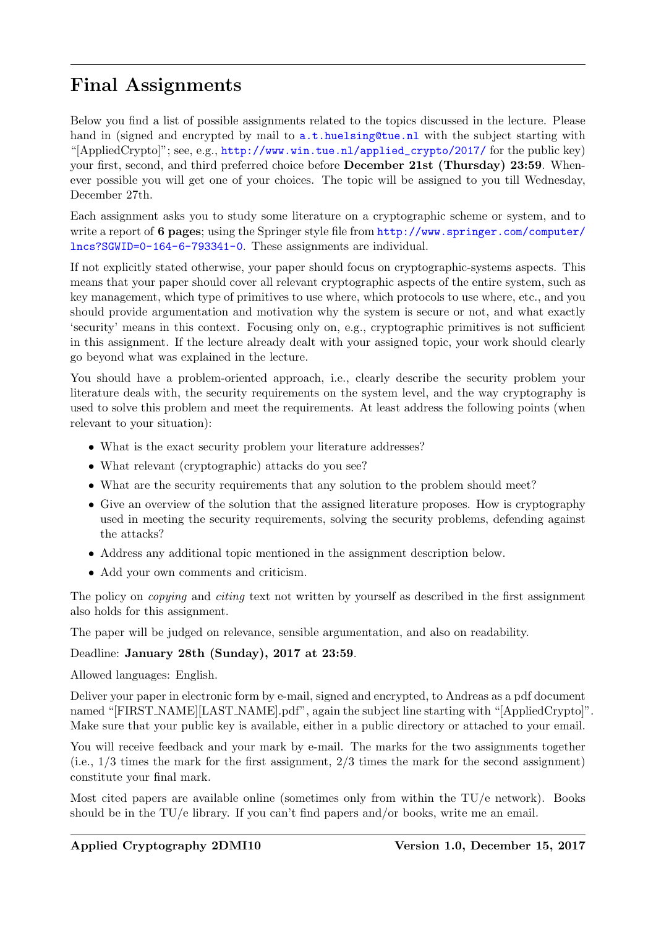## Final Assignments

Below you find a list of possible assignments related to the topics discussed in the lecture. Please hand in (signed and encrypted by mail to  $a.t.$  huelsing@tue.nl with the subject starting with "[AppliedCrypto]"; see, e.g., [http://www.win.tue.nl/applied\\_crypto/2017/](http://www.win.tue.nl/applied_crypto/2017/) for the public key) your first, second, and third preferred choice before **December 21st (Thursday) 23:59**. Whenever possible you will get one of your choices. The topic will be assigned to you till Wednesday, December 27th.

Each assignment asks you to study some literature on a cryptographic scheme or system, and to write a report of 6 pages; using the Springer style file from [http://www.springer.com/computer/](http://www.springer.com/computer/lncs?SGWID=0-164-6-793341-0) [lncs?SGWID=0-164-6-793341-0](http://www.springer.com/computer/lncs?SGWID=0-164-6-793341-0). These assignments are individual.

If not explicitly stated otherwise, your paper should focus on cryptographic-systems aspects. This means that your paper should cover all relevant cryptographic aspects of the entire system, such as key management, which type of primitives to use where, which protocols to use where, etc., and you should provide argumentation and motivation why the system is secure or not, and what exactly 'security' means in this context. Focusing only on, e.g., cryptographic primitives is not sufficient in this assignment. If the lecture already dealt with your assigned topic, your work should clearly go beyond what was explained in the lecture.

You should have a problem-oriented approach, i.e., clearly describe the security problem your literature deals with, the security requirements on the system level, and the way cryptography is used to solve this problem and meet the requirements. At least address the following points (when relevant to your situation):

- What is the exact security problem your literature addresses?
- What relevant (cryptographic) attacks do you see?
- What are the security requirements that any solution to the problem should meet?
- Give an overview of the solution that the assigned literature proposes. How is cryptography used in meeting the security requirements, solving the security problems, defending against the attacks?
- Address any additional topic mentioned in the assignment description below.
- Add your own comments and criticism.

The policy on *copying* and *citing* text not written by yourself as described in the first assignment also holds for this assignment.

The paper will be judged on relevance, sensible argumentation, and also on readability.

## Deadline: January 28th (Sunday), 2017 at 23:59.

Allowed languages: English.

Deliver your paper in electronic form by e-mail, signed and encrypted, to Andreas as a pdf document named "[FIRST\_NAME][LAST\_NAME].pdf", again the subject line starting with "[AppliedCrypto]". Make sure that your public key is available, either in a public directory or attached to your email.

You will receive feedback and your mark by e-mail. The marks for the two assignments together  $(i.e., 1/3 times the mark for the first assignment,  $2/3$  times the mark for the second assignment)$ constitute your final mark.

Most cited papers are available online (sometimes only from within the TU/e network). Books should be in the  $TU/e$  library. If you can't find papers and/or books, write me an email.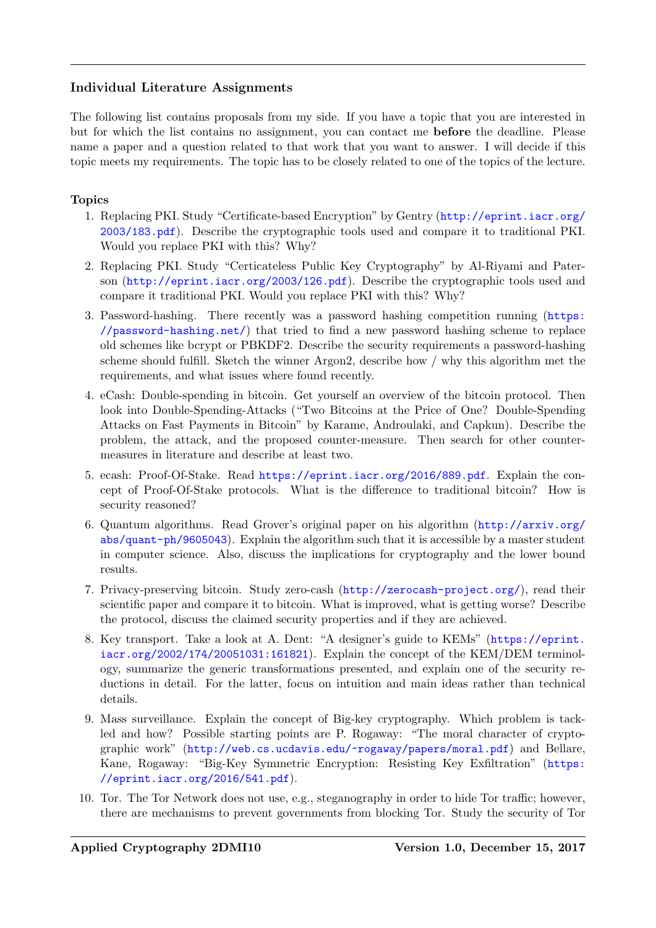## Individual Literature Assignments

The following list contains proposals from my side. If you have a topic that you are interested in but for which the list contains no assignment, you can contact me before the deadline. Please name a paper and a question related to that work that you want to answer. I will decide if this topic meets my requirements. The topic has to be closely related to one of the topics of the lecture.

## Topics

- 1. Replacing PKI. Study "Certificate-based Encryption" by Gentry ([http://eprint.iacr.org/](http://eprint.iacr.org/2003/183.pdf) [2003/183.pdf](http://eprint.iacr.org/2003/183.pdf)). Describe the cryptographic tools used and compare it to traditional PKI. Would you replace PKI with this? Why?
- 2. Replacing PKI. Study "Certicateless Public Key Cryptography" by Al-Riyami and Paterson (<http://eprint.iacr.org/2003/126.pdf>). Describe the cryptographic tools used and compare it traditional PKI. Would you replace PKI with this? Why?
- 3. Password-hashing. There recently was a password hashing competition running ([https:](https://password-hashing.net/) [//password-hashing.net/](https://password-hashing.net/)) that tried to find a new password hashing scheme to replace old schemes like bcrypt or PBKDF2. Describe the security requirements a password-hashing scheme should fulfill. Sketch the winner Argon2, describe how / why this algorithm met the requirements, and what issues where found recently.
- 4. eCash: Double-spending in bitcoin. Get yourself an overview of the bitcoin protocol. Then look into Double-Spending-Attacks ("Two Bitcoins at the Price of One? Double-Spending Attacks on Fast Payments in Bitcoin" by Karame, Androulaki, and Capkun). Describe the problem, the attack, and the proposed counter-measure. Then search for other countermeasures in literature and describe at least two.
- 5. ecash: Proof-Of-Stake. Read <https://eprint.iacr.org/2016/889.pdf>. Explain the concept of Proof-Of-Stake protocols. What is the difference to traditional bitcoin? How is security reasoned?
- 6. Quantum algorithms. Read Grover's original paper on his algorithm ([http://arxiv.org/](http://arxiv.org/abs/quant-ph/9605043) [abs/quant-ph/9605043](http://arxiv.org/abs/quant-ph/9605043)). Explain the algorithm such that it is accessible by a master student in computer science. Also, discuss the implications for cryptography and the lower bound results.
- 7. Privacy-preserving bitcoin. Study zero-cash (<http://zerocash-project.org/>), read their scientific paper and compare it to bitcoin. What is improved, what is getting worse? Describe the protocol, discuss the claimed security properties and if they are achieved.
- 8. Key transport. Take a look at A. Dent: "A designer's guide to KEMs" ([https://eprint.](https://eprint.iacr.org/2002/174/20051031:161821) [iacr.org/2002/174/20051031:161821](https://eprint.iacr.org/2002/174/20051031:161821)). Explain the concept of the KEM/DEM terminology, summarize the generic transformations presented, and explain one of the security reductions in detail. For the latter, focus on intuition and main ideas rather than technical details.
- 9. Mass surveillance. Explain the concept of Big-key cryptography. Which problem is tackled and how? Possible starting points are P. Rogaway: "The moral character of cryptographic work" (<http://web.cs.ucdavis.edu/~rogaway/papers/moral.pdf>) and Bellare, Kane, Rogaway: "Big-Key Symmetric Encryption: Resisting Key Exfiltration" ([https:](https://eprint.iacr.org/2016/541.pdf) [//eprint.iacr.org/2016/541.pdf](https://eprint.iacr.org/2016/541.pdf)).
- 10. Tor. The Tor Network does not use, e.g., steganography in order to hide Tor traffic; however, there are mechanisms to prevent governments from blocking Tor. Study the security of Tor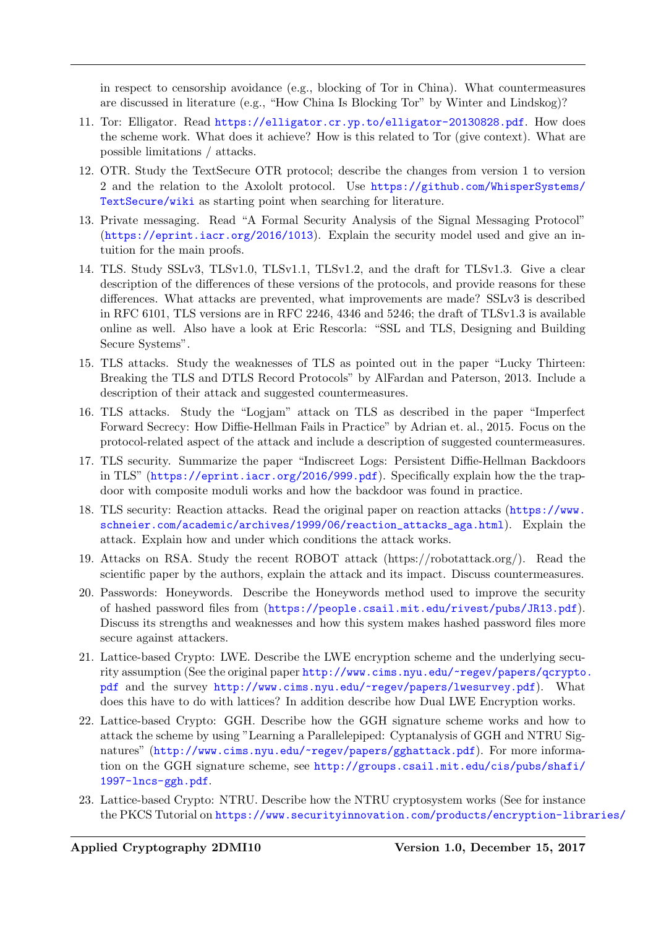in respect to censorship avoidance (e.g., blocking of Tor in China). What countermeasures are discussed in literature (e.g., "How China Is Blocking Tor" by Winter and Lindskog)?

- 11. Tor: Elligator. Read <https://elligator.cr.yp.to/elligator-20130828.pdf>. How does the scheme work. What does it achieve? How is this related to Tor (give context). What are possible limitations / attacks.
- 12. OTR. Study the TextSecure OTR protocol; describe the changes from version 1 to version 2 and the relation to the Axololt protocol. Use [https://github.com/WhisperSystems/](https://github.com/WhisperSystems/TextSecure/wiki) [TextSecure/wiki](https://github.com/WhisperSystems/TextSecure/wiki) as starting point when searching for literature.
- 13. Private messaging. Read "A Formal Security Analysis of the Signal Messaging Protocol" (<https://eprint.iacr.org/2016/1013>). Explain the security model used and give an intuition for the main proofs.
- 14. TLS. Study SSLv3, TLSv1.0, TLSv1.1, TLSv1.2, and the draft for TLSv1.3. Give a clear description of the differences of these versions of the protocols, and provide reasons for these differences. What attacks are prevented, what improvements are made? SSLv3 is described in RFC 6101, TLS versions are in RFC 2246, 4346 and 5246; the draft of TLSv1.3 is available online as well. Also have a look at Eric Rescorla: "SSL and TLS, Designing and Building Secure Systems".
- 15. TLS attacks. Study the weaknesses of TLS as pointed out in the paper "Lucky Thirteen: Breaking the TLS and DTLS Record Protocols" by AlFardan and Paterson, 2013. Include a description of their attack and suggested countermeasures.
- 16. TLS attacks. Study the "Logjam" attack on TLS as described in the paper "Imperfect Forward Secrecy: How Diffie-Hellman Fails in Practice" by Adrian et. al., 2015. Focus on the protocol-related aspect of the attack and include a description of suggested countermeasures.
- 17. TLS security. Summarize the paper "Indiscreet Logs: Persistent Diffie-Hellman Backdoors in TLS" (<https://eprint.iacr.org/2016/999.pdf>). Specifically explain how the the trapdoor with composite moduli works and how the backdoor was found in practice.
- 18. TLS security: Reaction attacks. Read the original paper on reaction attacks ([https://www.](https://www.schneier.com/academic/archives/1999/06/reaction_attacks_aga.html) [schneier.com/academic/archives/1999/06/reaction\\_attacks\\_aga.html](https://www.schneier.com/academic/archives/1999/06/reaction_attacks_aga.html)). Explain the attack. Explain how and under which conditions the attack works.
- 19. Attacks on RSA. Study the recent ROBOT attack (https://robotattack.org/). Read the scientific paper by the authors, explain the attack and its impact. Discuss countermeasures.
- 20. Passwords: Honeywords. Describe the Honeywords method used to improve the security of hashed password files from (<https://people.csail.mit.edu/rivest/pubs/JR13.pdf>). Discuss its strengths and weaknesses and how this system makes hashed password files more secure against attackers.
- 21. Lattice-based Crypto: LWE. Describe the LWE encryption scheme and the underlying security assumption (See the original paper [http://www.cims.nyu.edu/~regev/papers/qcrypto](http://www.cims.nyu.edu/~regev/papers/qcrypto.pdf). [pdf](http://www.cims.nyu.edu/~regev/papers/qcrypto.pdf) and the survey <http://www.cims.nyu.edu/~regev/papers/lwesurvey.pdf>). What does this have to do with lattices? In addition describe how Dual LWE Encryption works.
- 22. Lattice-based Crypto: GGH. Describe how the GGH signature scheme works and how to attack the scheme by using "Learning a Parallelepiped: Cyptanalysis of GGH and NTRU Signatures" (<http://www.cims.nyu.edu/~regev/papers/gghattack.pdf>). For more information on the GGH signature scheme, see [http://groups.csail.mit.edu/cis/pubs/shafi/](http://groups.csail.mit.edu/cis/pubs/shafi/1997-lncs-ggh.pdf) [1997-lncs-ggh.pdf](http://groups.csail.mit.edu/cis/pubs/shafi/1997-lncs-ggh.pdf).
- 23. Lattice-based Crypto: NTRU. Describe how the NTRU cryptosystem works (See for instance the PKCS Tutorial on [https://www.securityinnovation.com/products/encryption-libr](https://www.securityinnovation.com/products/encryption-libraries/ntru-crypto/ntru-resources.html)aries/